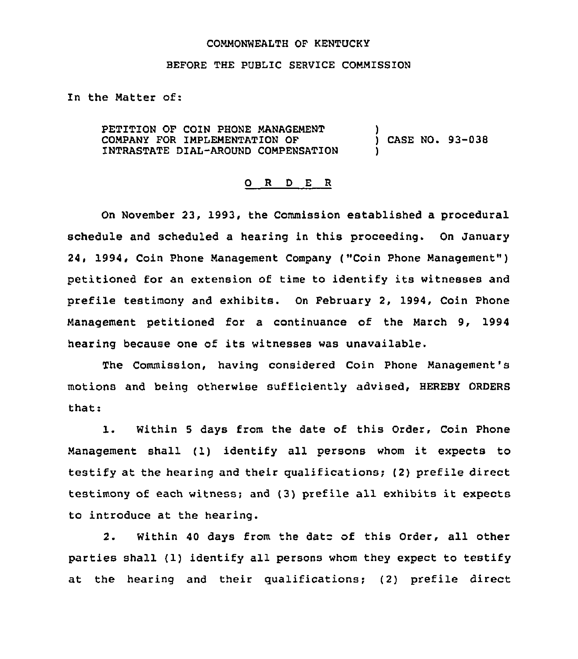## COMMONWEALTH OF KENTUCKY

## BEFORE THE PUBLIC SERVICE COMMISSION

In the Natter of:

PETITION OF COIN PHONE MANAGEMENT COMPANY FOR IMPLEMENTATION OF INTRASTATE DIAL-AROUND COMPENSATION ) ) CASE NO. 93-038 )

## 0 <sup>R</sup> <sup>D</sup> <sup>E</sup> <sup>R</sup>

On November 23, 1993, the Commission established a procedural schedule and scheduled a hearing in this proceeding. On January 24, 1994, Coin Phone Management Company ("Coin Phone Management" ) petitioned for an extension of time to identify its witnesses and prefile testimony and exhibits. On February 2, 1994, Coin Phone Management petitioned for a continuance of the March 9, 1994 hearing because one of its witnesses was unavailable.

The Commission, having considered Coin Phone Management's motions and being otherwise sufficiently advised, HEREBY ORDERS that:

1. Within <sup>5</sup> days from the date of this Order, Coin Phone Management shall (1) identify all persons whom it expects to testify at the hearing and their qualifications; (2) prefile direct testimony of each witness; and (3) prefile all exhibits it expects to introduce at the hearing.

2. Within 40 days from the date of this Order, all other parties shall (1) identify all persons whom they expect to testify at the hearing and their qualifications; (2) prefile direct